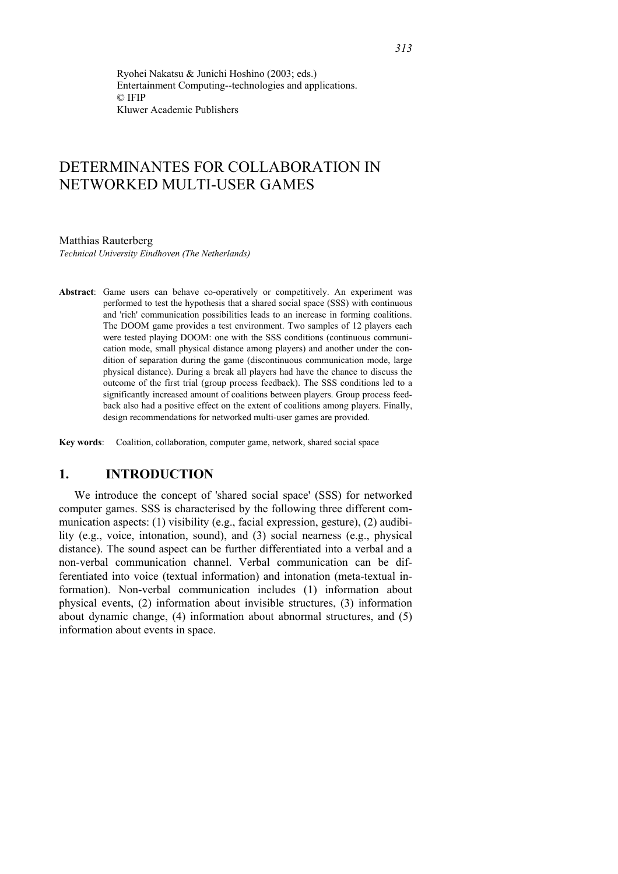Ryohei Nakatsu & Junichi Hoshino (2003; eds.) Entertainment Computing--technologies and applications. © IFIP Kluwer Academic Publishers

# DETERMINANTES FOR COLLABORATION IN NETWORKED MULTI-USER GAMES

#### Matthias Rauterberg

*Technical University Eindhoven (The Netherlands)* 

**Abstract**: Game users can behave co-operatively or competitively. An experiment was performed to test the hypothesis that a shared social space (SSS) with continuous and 'rich' communication possibilities leads to an increase in forming coalitions. The DOOM game provides a test environment. Two samples of 12 players each were tested playing DOOM: one with the SSS conditions (continuous communication mode, small physical distance among players) and another under the condition of separation during the game (discontinuous communication mode, large physical distance). During a break all players had have the chance to discuss the outcome of the first trial (group process feedback). The SSS conditions led to a significantly increased amount of coalitions between players. Group process feedback also had a positive effect on the extent of coalitions among players. Finally, design recommendations for networked multi-user games are provided.

**Key words**: Coalition, collaboration, computer game, network, shared social space

## **1. INTRODUCTION**

We introduce the concept of 'shared social space' (SSS) for networked computer games. SSS is characterised by the following three different communication aspects: (1) visibility (e.g., facial expression, gesture), (2) audibility (e.g., voice, intonation, sound), and (3) social nearness (e.g., physical distance). The sound aspect can be further differentiated into a verbal and a non-verbal communication channel. Verbal communication can be differentiated into voice (textual information) and intonation (meta-textual information). Non-verbal communication includes (1) information about physical events, (2) information about invisible structures, (3) information about dynamic change, (4) information about abnormal structures, and (5) information about events in space.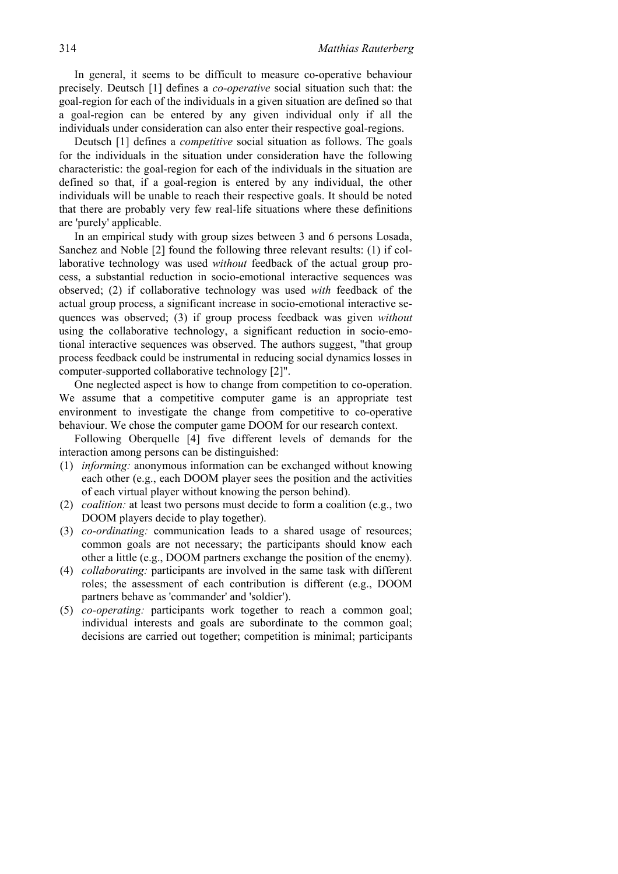In general, it seems to be difficult to measure co-operative behaviour precisely. Deutsch [1] defines a *co-operative* social situation such that: the goal-region for each of the individuals in a given situation are defined so that a goal-region can be entered by any given individual only if all the individuals under consideration can also enter their respective goal-regions.

Deutsch [1] defines a *competitive* social situation as follows. The goals for the individuals in the situation under consideration have the following characteristic: the goal-region for each of the individuals in the situation are defined so that, if a goal-region is entered by any individual, the other individuals will be unable to reach their respective goals. It should be noted that there are probably very few real-life situations where these definitions are 'purely' applicable.

In an empirical study with group sizes between 3 and 6 persons Losada, Sanchez and Noble [2] found the following three relevant results: (1) if collaborative technology was used *without* feedback of the actual group process, a substantial reduction in socio-emotional interactive sequences was observed; (2) if collaborative technology was used *with* feedback of the actual group process, a significant increase in socio-emotional interactive sequences was observed; (3) if group process feedback was given *without* using the collaborative technology, a significant reduction in socio-emotional interactive sequences was observed. The authors suggest, "that group process feedback could be instrumental in reducing social dynamics losses in computer-supported collaborative technology [2]".

One neglected aspect is how to change from competition to co-operation. We assume that a competitive computer game is an appropriate test environment to investigate the change from competitive to co-operative behaviour. We chose the computer game DOOM for our research context.

Following Oberquelle [4] five different levels of demands for the interaction among persons can be distinguished:

- (1) *informing:* anonymous information can be exchanged without knowing each other (e.g., each DOOM player sees the position and the activities of each virtual player without knowing the person behind).
- (2) *coalition:* at least two persons must decide to form a coalition (e.g., two DOOM players decide to play together).
- (3) *co-ordinating:* communication leads to a shared usage of resources; common goals are not necessary; the participants should know each other a little (e.g., DOOM partners exchange the position of the enemy).
- (4) *collaborating:* participants are involved in the same task with different roles; the assessment of each contribution is different (e.g., DOOM partners behave as 'commander' and 'soldier').
- (5) *co-operating:* participants work together to reach a common goal; individual interests and goals are subordinate to the common goal; decisions are carried out together; competition is minimal; participants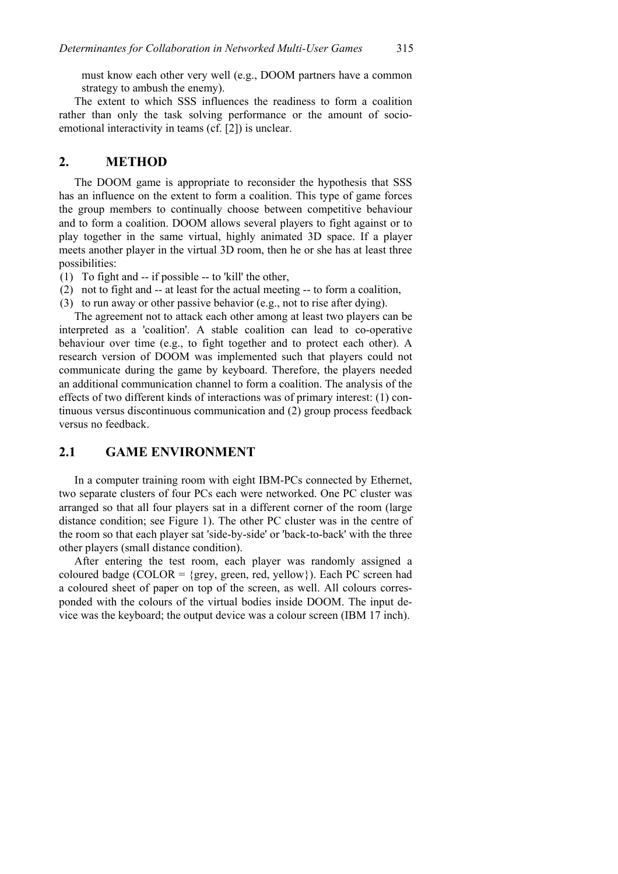must know each other very well (e.g., DOOM partners have a common strategy to ambush the enemy).

The extent to which SSS influences the readiness to form a coalition rather than only the task solving performance or the amount of socioemotional interactivity in teams (cf. [2]) is unclear.

#### **2. METHOD**

The DOOM game is appropriate to reconsider the hypothesis that SSS has an influence on the extent to form a coalition. This type of game forces the group members to continually choose between competitive behaviour and to form a coalition. DOOM allows several players to fight against or to play together in the same virtual, highly animated 3D space. If a player meets another player in the virtual 3D room, then he or she has at least three possibilities:

(1) To fight and -- if possible -- to 'kill' the other,

- (2) not to fight and -- at least for the actual meeting -- to form a coalition,
- (3) to run away or other passive behavior (e.g., not to rise after dying).

The agreement not to attack each other among at least two players can be interpreted as a 'coalition'. A stable coalition can lead to co-operative behaviour over time (e.g., to fight together and to protect each other). A research version of DOOM was implemented such that players could not communicate during the game by keyboard. Therefore, the players needed an additional communication channel to form a coalition. The analysis of the effects of two different kinds of interactions was of primary interest: (1) continuous versus discontinuous communication and (2) group process feedback versus no feedback.

## **2.1 GAME ENVIRONMENT**

In a computer training room with eight IBM-PCs connected by Ethernet, two separate clusters of four PCs each were networked. One PC cluster was arranged so that all four players sat in a different corner of the room (large distance condition; see Figure 1). The other PC cluster was in the centre of the room so that each player sat 'side-by-side' or 'back-to-back' with the three other players (small distance condition).

After entering the test room, each player was randomly assigned a coloured badge (COLOR =  $\{$ grey, green, red, yellow $\}$ ). Each PC screen had a coloured sheet of paper on top of the screen, as well. All colours corresponded with the colours of the virtual bodies inside DOOM. The input device was the keyboard; the output device was a colour screen (IBM 17 inch).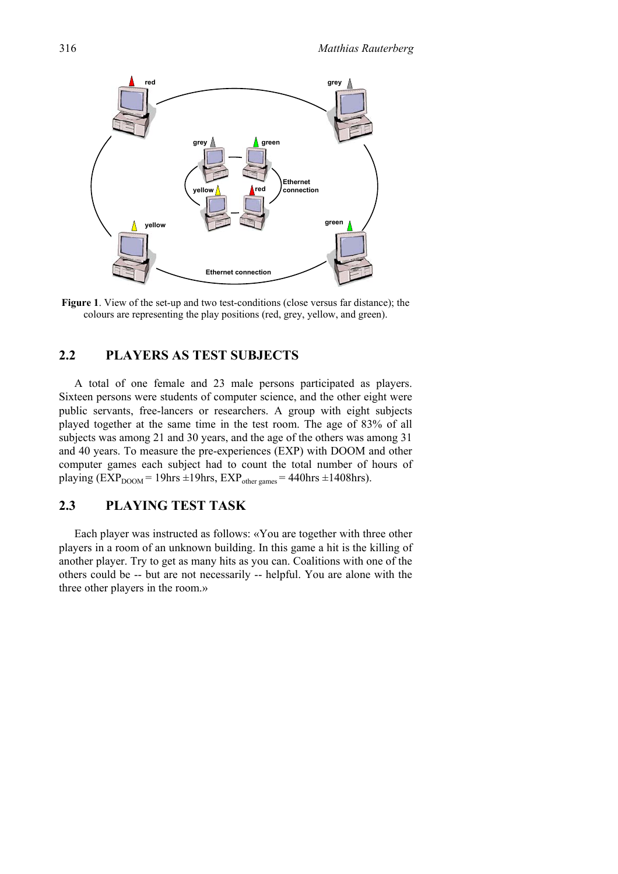

**Figure 1**. View of the set-up and two test-conditions (close versus far distance); the colours are representing the play positions (red, grey, yellow, and green).

# **2.2 PLAYERS AS TEST SUBJECTS**

A total of one female and 23 male persons participated as players. Sixteen persons were students of computer science, and the other eight were public servants, free-lancers or researchers. A group with eight subjects played together at the same time in the test room. The age of 83% of all subjects was among 21 and 30 years, and the age of the others was among 31 and 40 years. To measure the pre-experiences (EXP) with DOOM and other computer games each subject had to count the total number of hours of playing ( $\overline{EXP}_{DOM} = 19$ hrs  $\pm 19$ hrs,  $\overline{EXP}_{other\, games} = 440$ hrs  $\pm 1408$ hrs).

# **2.3 PLAYING TEST TASK**

Each player was instructed as follows: «You are together with three other players in a room of an unknown building. In this game a hit is the killing of another player. Try to get as many hits as you can. Coalitions with one of the others could be -- but are not necessarily -- helpful. You are alone with the three other players in the room.»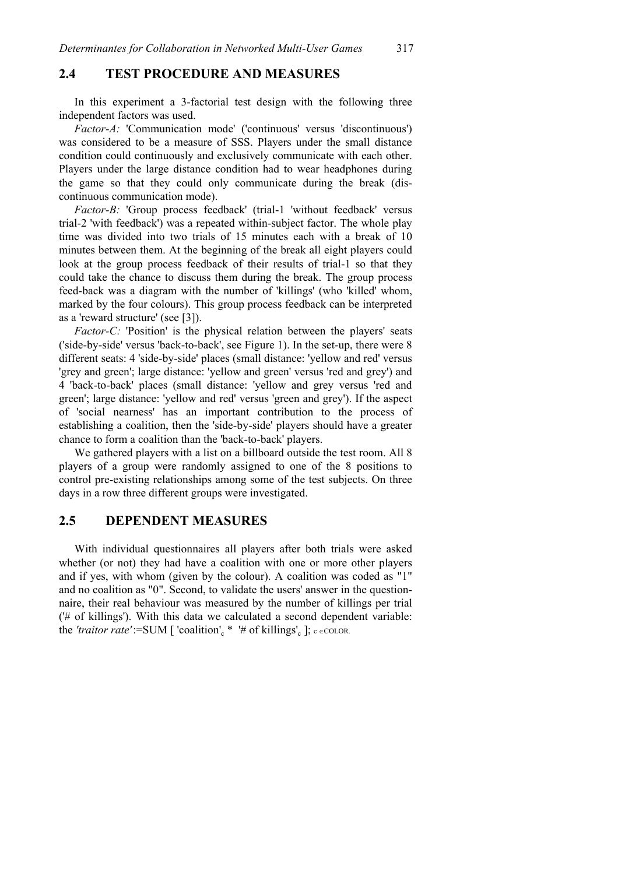### **2.4 TEST PROCEDURE AND MEASURES**

In this experiment a 3-factorial test design with the following three independent factors was used.

*Factor-A:* 'Communication mode' ('continuous' versus 'discontinuous') was considered to be a measure of SSS. Players under the small distance condition could continuously and exclusively communicate with each other. Players under the large distance condition had to wear headphones during the game so that they could only communicate during the break (discontinuous communication mode).

*Factor-B:* 'Group process feedback' (trial-1 'without feedback' versus trial-2 'with feedback') was a repeated within-subject factor. The whole play time was divided into two trials of 15 minutes each with a break of 10 minutes between them. At the beginning of the break all eight players could look at the group process feedback of their results of trial-1 so that they could take the chance to discuss them during the break. The group process feed-back was a diagram with the number of 'killings' (who 'killed' whom, marked by the four colours). This group process feedback can be interpreted as a 'reward structure' (see [3]).

*Factor-C:* 'Position' is the physical relation between the players' seats ('side-by-side' versus 'back-to-back', see Figure 1). In the set-up, there were 8 different seats: 4 'side-by-side' places (small distance: 'yellow and red' versus 'grey and green'; large distance: 'yellow and green' versus 'red and grey') and 4 'back-to-back' places (small distance: 'yellow and grey versus 'red and green'; large distance: 'yellow and red' versus 'green and grey'). If the aspect of 'social nearness' has an important contribution to the process of establishing a coalition, then the 'side-by-side' players should have a greater chance to form a coalition than the 'back-to-back' players.

We gathered players with a list on a billboard outside the test room. All 8 players of a group were randomly assigned to one of the 8 positions to control pre-existing relationships among some of the test subjects. On three days in a row three different groups were investigated.

### **2.5 DEPENDENT MEASURES**

With individual questionnaires all players after both trials were asked whether (or not) they had have a coalition with one or more other players and if yes, with whom (given by the colour). A coalition was coded as "1" and no coalition as "0". Second, to validate the users' answer in the questionnaire, their real behaviour was measured by the number of killings per trial ('# of killings'). With this data we calculated a second dependent variable: the 'traitor rate':=SUM [ 'coalition'<sub>c</sub> \* '# of killings'<sub>c</sub> ]; c ∈COLOR.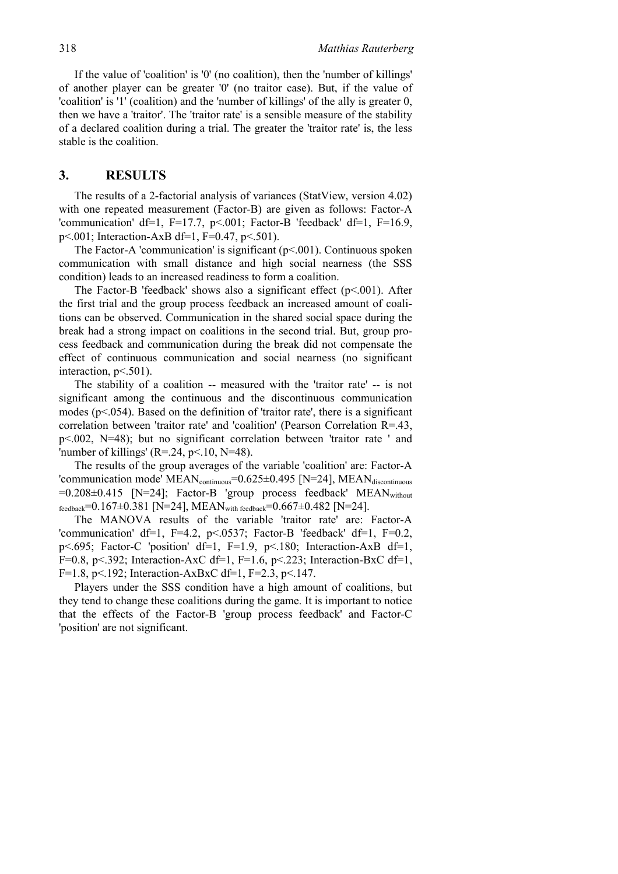If the value of 'coalition' is '0' (no coalition), then the 'number of killings' of another player can be greater '0' (no traitor case). But, if the value of 'coalition' is '1' (coalition) and the 'number of killings' of the ally is greater 0, then we have a 'traitor'. The 'traitor rate' is a sensible measure of the stability of a declared coalition during a trial. The greater the 'traitor rate' is, the less stable is the coalition.

#### **3. RESULTS**

The results of a 2-factorial analysis of variances (StatView, version 4.02) with one repeated measurement (Factor-B) are given as follows: Factor-A 'communication' df=1, F=17.7, p<.001; Factor-B 'feedback' df=1, F=16.9, p<.001; Interaction-AxB df=1, F=0.47, p<.501).

The Factor-A 'communication' is significant  $(p< 0.001)$ . Continuous spoken communication with small distance and high social nearness (the SSS condition) leads to an increased readiness to form a coalition.

The Factor-B 'feedback' shows also a significant effect  $(p<0.001)$ . After the first trial and the group process feedback an increased amount of coalitions can be observed. Communication in the shared social space during the break had a strong impact on coalitions in the second trial. But, group process feedback and communication during the break did not compensate the effect of continuous communication and social nearness (no significant interaction,  $p<.501$ ).

The stability of a coalition -- measured with the 'traitor rate' -- is not significant among the continuous and the discontinuous communication modes ( $p$ <.054). Based on the definition of 'traitor rate', there is a significant correlation between 'traitor rate' and 'coalition' (Pearson Correlation R=.43, p<.002, N=48); but no significant correlation between 'traitor rate ' and 'number of killings' (R=.24, p<.10, N=48).

The results of the group averages of the variable 'coalition' are: Factor-A 'communication mode'  $MEAN_{\text{continuous}}=0.625\pm0.495$  [N=24],  $MEAN_{\text{discontinuous}}$  $=0.208\pm0.415$  [N=24]; Factor-B 'group process feedback' MEAN<sub>without</sub> feedback=0.167 $\pm$ 0.381 [N=24], MEAN<sub>with feedback</sub>=0.667 $\pm$ 0.482 [N=24].

The MANOVA results of the variable 'traitor rate' are: Factor-A 'communication' df=1, F=4.2, p<.0537; Factor-B 'feedback' df=1, F=0.2, p<.695; Factor-C 'position' df=1, F=1.9, p<.180; Interaction-AxB df=1, F=0.8, p $\le$  392; Interaction-AxC df=1, F=1.6, p $\le$  223; Interaction-BxC df=1, F=1.8, p<.192; Interaction-AxBxC df=1, F=2.3, p<.147.

Players under the SSS condition have a high amount of coalitions, but they tend to change these coalitions during the game. It is important to notice that the effects of the Factor-B 'group process feedback' and Factor-C 'position' are not significant.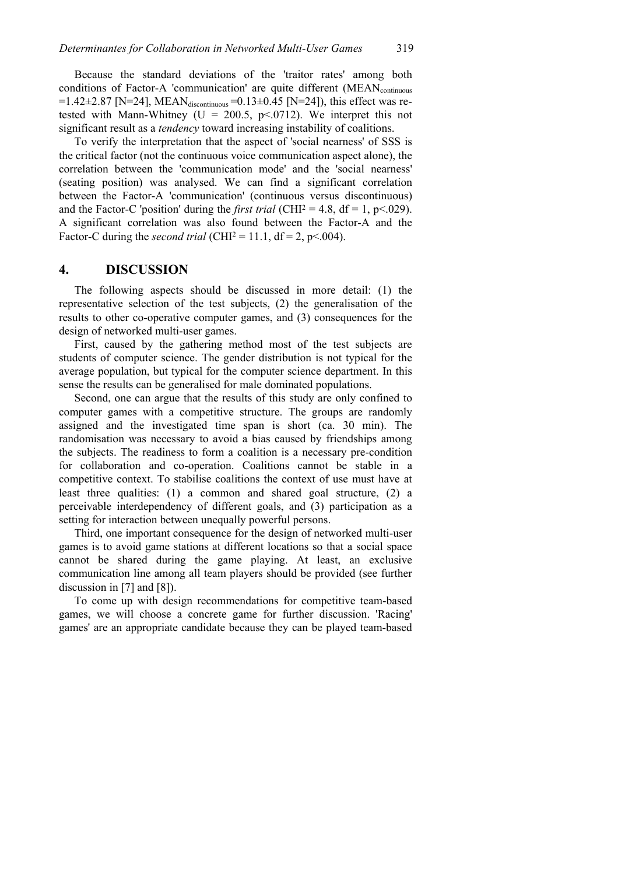Because the standard deviations of the 'traitor rates' among both conditions of Factor-A 'communication' are quite different (MEAN<sub>continuous</sub> =1.42 $\pm$ 2.87 [N=24], MEAN<sub>discontinuous</sub> =0.13 $\pm$ 0.45 [N=24]), this effect was retested with Mann-Whitney (U = 200.5,  $p \le 0.0712$ ). We interpret this not significant result as a *tendency* toward increasing instability of coalitions.

To verify the interpretation that the aspect of 'social nearness' of SSS is the critical factor (not the continuous voice communication aspect alone), the correlation between the 'communication mode' and the 'social nearness' (seating position) was analysed. We can find a significant correlation between the Factor-A 'communication' (continuous versus discontinuous) and the Factor-C 'position' during the *first trial* (CHI<sup>2</sup> = 4.8, df = 1, p<.029). A significant correlation was also found between the Factor-A and the Factor-C during the *second trial* (CHI<sup>2</sup> = 11.1, df = 2, p<.004).

#### **4. DISCUSSION**

The following aspects should be discussed in more detail: (1) the representative selection of the test subjects, (2) the generalisation of the results to other co-operative computer games, and (3) consequences for the design of networked multi-user games.

First, caused by the gathering method most of the test subjects are students of computer science. The gender distribution is not typical for the average population, but typical for the computer science department. In this sense the results can be generalised for male dominated populations.

Second, one can argue that the results of this study are only confined to computer games with a competitive structure. The groups are randomly assigned and the investigated time span is short (ca. 30 min). The randomisation was necessary to avoid a bias caused by friendships among the subjects. The readiness to form a coalition is a necessary pre-condition for collaboration and co-operation. Coalitions cannot be stable in a competitive context. To stabilise coalitions the context of use must have at least three qualities: (1) a common and shared goal structure, (2) a perceivable interdependency of different goals, and (3) participation as a setting for interaction between unequally powerful persons.

Third, one important consequence for the design of networked multi-user games is to avoid game stations at different locations so that a social space cannot be shared during the game playing. At least, an exclusive communication line among all team players should be provided (see further discussion in [7] and [8]).

To come up with design recommendations for competitive team-based games, we will choose a concrete game for further discussion. 'Racing' games' are an appropriate candidate because they can be played team-based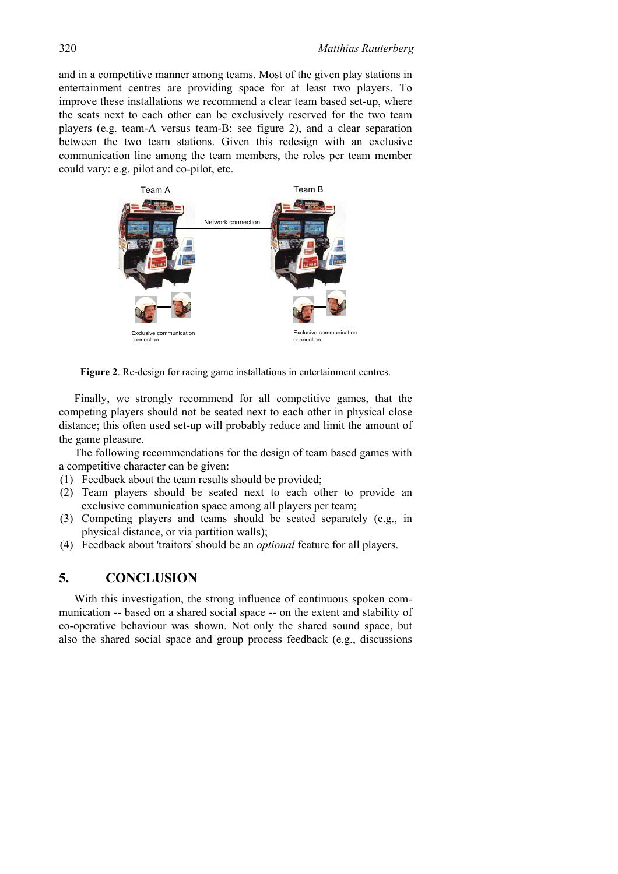and in a competitive manner among teams. Most of the given play stations in entertainment centres are providing space for at least two players. To improve these installations we recommend a clear team based set-up, where the seats next to each other can be exclusively reserved for the two team players (e.g. team-A versus team-B; see figure 2), and a clear separation between the two team stations. Given this redesign with an exclusive communication line among the team members, the roles per team member could vary: e.g. pilot and co-pilot, etc.



**Figure 2**. Re-design for racing game installations in entertainment centres.

Finally, we strongly recommend for all competitive games, that the competing players should not be seated next to each other in physical close distance; this often used set-up will probably reduce and limit the amount of the game pleasure.

The following recommendations for the design of team based games with a competitive character can be given:

- (1) Feedback about the team results should be provided;
- (2) Team players should be seated next to each other to provide an exclusive communication space among all players per team;
- (3) Competing players and teams should be seated separately (e.g., in physical distance, or via partition walls);
- (4) Feedback about 'traitors' should be an *optional* feature for all players.

#### **5. CONCLUSION**

With this investigation, the strong influence of continuous spoken communication -- based on a shared social space -- on the extent and stability of co-operative behaviour was shown. Not only the shared sound space, but also the shared social space and group process feedback (e.g., discussions